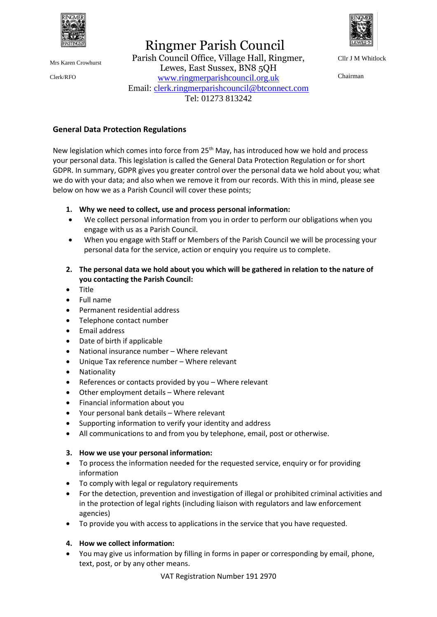

Mrs Karen Crowhurst

Clerk/RFO

# Ringmer Parish Council

Parish Council Office, Village Hall, Ringmer, Lewes, East Sussex, BN8 5QH [www.ringmerparishcouncil.org.uk](http://www.ringmerparishcouncil.org.uk/) Email: [clerk.ringmerparishcouncil@btconnect.com](mailto:clerk.ringmerparishcouncil@btconnect.com) Tel: 01273 813242



Cllr J M Whitlock

Chairman

# **General Data Protection Regulations**

New legislation which comes into force from 25<sup>th</sup> May, has introduced how we hold and process your personal data. This legislation is called the General Data Protection Regulation or for short GDPR. In summary, GDPR gives you greater control over the personal data we hold about you; what we do with your data; and also when we remove it from our records. With this in mind, please see below on how we as a Parish Council will cover these points;

- **1. Why we need to collect, use and process personal information:**
- We collect personal information from you in order to perform our obligations when you engage with us as a Parish Council.
- When you engage with Staff or Members of the Parish Council we will be processing your personal data for the service, action or enquiry you require us to complete.
- **2. The personal data we hold about you which will be gathered in relation to the nature of you contacting the Parish Council:**
- Title
- Full name
- Permanent residential address
- Telephone contact number
- Email address
- Date of birth if applicable
- National insurance number Where relevant
- Unique Tax reference number Where relevant
- Nationality
- References or contacts provided by you Where relevant
- Other employment details Where relevant
- Financial information about you
- Your personal bank details Where relevant
- Supporting information to verify your identity and address
- All communications to and from you by telephone, email, post or otherwise.

## **3. How we use your personal information:**

- To process the information needed for the requested service, enquiry or for providing information
- To comply with legal or regulatory requirements
- For the detection, prevention and investigation of illegal or prohibited criminal activities and in the protection of legal rights (including liaison with regulators and law enforcement agencies)
- To provide you with access to applications in the service that you have requested.

## **4. How we collect information:**

• You may give us information by filling in forms in paper or corresponding by email, phone, text, post, or by any other means.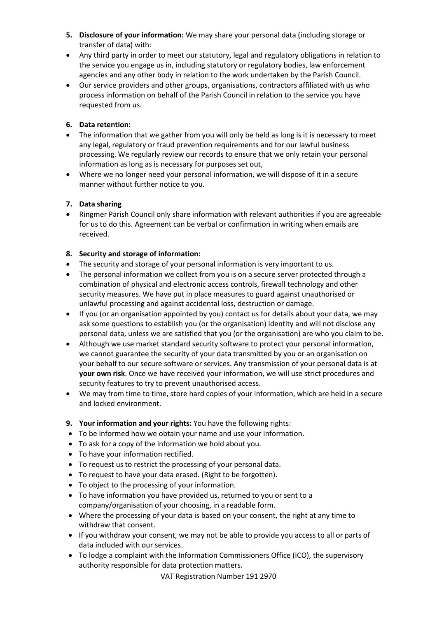- **5. Disclosure of your information:** We may share your personal data (including storage or transfer of data) with:
- Any third party in order to meet our statutory, legal and regulatory obligations in relation to the service you engage us in, including statutory or regulatory bodies, law enforcement agencies and any other body in relation to the work undertaken by the Parish Council.
- Our service providers and other groups, organisations, contractors affiliated with us who process information on behalf of the Parish Council in relation to the service you have requested from us.

## **6. Data retention:**

- The information that we gather from you will only be held as long is it is necessary to meet any legal, regulatory or fraud prevention requirements and for our lawful business processing. We regularly review our records to ensure that we only retain your personal information as long as is necessary for purposes set out,
- Where we no longer need your personal information, we will dispose of it in a secure manner without further notice to you.

#### **7. Data sharing**

• Ringmer Parish Council only share information with relevant authorities if you are agreeable for us to do this. Agreement can be verbal or confirmation in writing when emails are received.

#### **8. Security and storage of information:**

- The security and storage of your personal information is very important to us.
- The personal information we collect from you is on a secure server protected through a combination of physical and electronic access controls, firewall technology and other security measures. We have put in place measures to guard against unauthorised or unlawful processing and against accidental loss, destruction or damage.
- If you (or an organisation appointed by you) contact us for details about your data, we may ask some questions to establish you (or the organisation) identity and will not disclose any personal data, unless we are satisfied that you (or the organisation) are who you claim to be.
- Although we use market standard security software to protect your personal information, we cannot guarantee the security of your data transmitted by you or an organisation on your behalf to our secure software or services. Any transmission of your personal data is at **your own risk**. Once we have received your information, we will use strict procedures and security features to try to prevent unauthorised access.
- We may from time to time, store hard copies of your information, which are held in a secure and locked environment.
- **9. Your information and your rights:** You have the following rights:
- To be informed how we obtain your name and use your information.
- To ask for a copy of the information we hold about you.
- To have your information rectified.
- To request us to restrict the processing of your personal data.
- To request to have your data erased. (Right to be forgotten).
- To object to the processing of your information.
- To have information you have provided us, returned to you or sent to a company/organisation of your choosing, in a readable form.
- Where the processing of your data is based on your consent, the right at any time to withdraw that consent.
- If you withdraw your consent, we may not be able to provide you access to all or parts of data included with our services.
- To lodge a complaint with the Information Commissioners Office (ICO), the supervisory authority responsible for data protection matters.